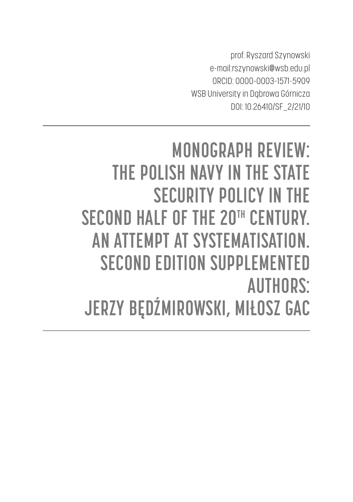prof. Ryszard Szynowski e-mail:rszynowski@wsb.edu.pl ORCID: 0000-0003-1571-5909 WSB University in Dąbrowa Górnicza DOI: 10.26410/SF\_2/21/10

## **MONOGRAPH REVIEW: THE POLISH NAVY IN THE STATE SECURITY POLICY IN THE SECOND HALF OF THE 20TH CENTURY. AN ATTEMPT AT SYSTEMATISATION. SECOND EDITION SUPPLEMENTED AUTHORS: JERZY BĘDŹMIROWSKI, MIŁOSZ GAC**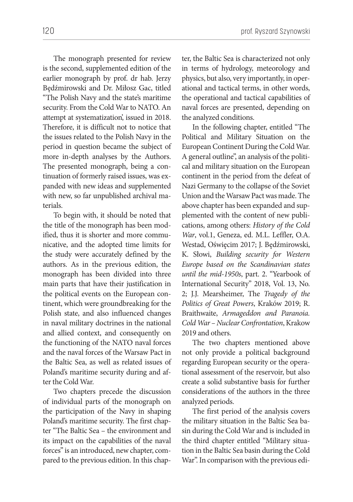120 **prof. Ryszard Szynowski** 

The monograph presented for review is the second, supplemented edition of the earlier monograph by prof. dr hab. Jerzy Będźmirowski and Dr. Miłosz Gac, titled "The Polish Navy and the state's maritime security. From the Cold War to NATO. An attempt at systematization', issued in 2018. Therefore, it is difficult not to notice that the issues related to the Polish Navy in the period in question became the subject of more in-depth analyses by the Authors. The presented monograph, being a continuation of formerly raised issues, was expanded with new ideas and supplemented with new, so far unpublished archival materials.

To begin with, it should be noted that the title of the monograph has been modified, thus it is shorter and more communicative, and the adopted time limits for the study were accurately defined by the authors. As in the previous edition, the monograph has been divided into three main parts that have their justification in the political events on the European continent, which were groundbreaking for the Polish state, and also influenced changes in naval military doctrines in the national and allied context, and consequently on the functioning of the NATO naval forces and the naval forces of the Warsaw Pact in the Baltic Sea, as well as related issues of Poland's maritime security during and after the Cold War.

Two chapters precede the discussion of individual parts of the monograph on the participation of the Navy in shaping Poland's maritime security. The first chapter "The Baltic Sea – the environment and its impact on the capabilities of the naval forces" is an introduced, new chapter, compared to the previous edition. In this chapter, the Baltic Sea is characterized not only in terms of hydrology, meteorology and physics, but also, very importantly, in operational and tactical terms, in other words, the operational and tactical capabilities of naval forces are presented, depending on the analyzed conditions.

In the following chapter, entitled "The Political and Military Situation on the European Continent During the Cold War. A general outline", an analysis of the political and military situation on the European continent in the period from the defeat of Nazi Germany to the collapse of the Soviet Union and the Warsaw Pact was made. The above chapter has been expanded and supplemented with the content of new publications, among others: *History of the Cold War*, vol.1, Geneza, ed. M.L. Leffler, O.A. Westad, Oświęcim 2017; J. Będźmirowski, K. Słowi, *Building security for Western Europe based on the Scandinavian states until the mid-1950s*, part. 2. "Yearbook of International Security'' 2018, Vol. 13, No. 2; J.J. Mearsheimer, The *Tragedy of the Politics of Great Powers*, Kraków 2019; R. Braithwaite, *Armageddon and Paranoia. Cold War – Nuclear Confrontation*, Krakow 2019 and others.

The two chapters mentioned above not only provide a political background regarding European security or the operational assessment of the reservoir, but also create a solid substantive basis for further considerations of the authors in the three analyzed periods.

The first period of the analysis covers the military situation in the Baltic Sea basin during the Cold War and is included in the third chapter entitled "Military situation in the Baltic Sea basin during the Cold War". In comparison with the previous edi-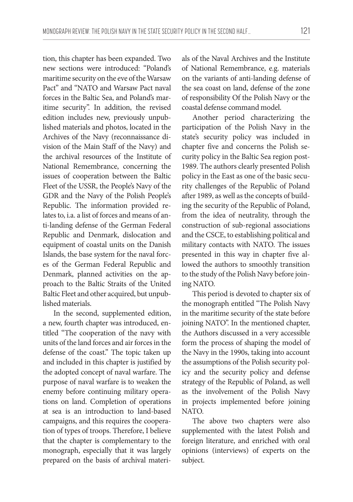tion, this chapter has been expanded. Two new sections were introduced: "Poland's maritime security on the eve of the Warsaw Pact" and "NATO and Warsaw Pact naval forces in the Baltic Sea, and Poland's maritime security". In addition, the revised edition includes new, previously unpublished materials and photos, located in the Archives of the Navy (reconnaissance division of the Main Staff of the Navy) and the archival resources of the Institute of National Remembrance, concerning the issues of cooperation between the Baltic Fleet of the USSR, the People's Navy of the GDR and the Navy of the Polish People's Republic. The information provided relates to, i.a. a list of forces and means of anti-landing defense of the German Federal Republic and Denmark, dislocation and equipment of coastal units on the Danish Islands, the base system for the naval forces of the German Federal Republic and Denmark, planned activities on the approach to the Baltic Straits of the United Baltic Fleet and other acquired, but unpublished materials.

In the second, supplemented edition, a new, fourth chapter was introduced, entitled "The cooperation of the navy with units of the land forces and air forces in the defense of the coast." The topic taken up and included in this chapter is justified by the adopted concept of naval warfare. The purpose of naval warfare is to weaken the enemy before continuing military operations on land. Completion of operations at sea is an introduction to land-based campaigns, and this requires the cooperation of types of troops. Therefore, I believe that the chapter is complementary to the monograph, especially that it was largely prepared on the basis of archival materi-

als of the Naval Archives and the Institute of National Remembrance, e.g. materials on the variants of anti-landing defense of the sea coast on land, defense of the zone of responsibility Of the Polish Navy or the coastal defense command model.

Another period characterizing the participation of the Polish Navy in the state's security policy was included in chapter five and concerns the Polish security policy in the Baltic Sea region post-1989. The authors clearly presented Polish policy in the East as one of the basic security challenges of the Republic of Poland after 1989, as well as the concepts of building the security of the Republic of Poland, from the idea of neutrality, through the construction of sub-regional associations and the CSCE, to establishing political and military contacts with NATO. The issues presented in this way in chapter five allowed the authors to smoothly transition to the study of the Polish Navy before joining NATO.

This period is devoted to chapter six of the monograph entitled "The Polish Navy in the maritime security of the state before joining NATO". In the mentioned chapter, the Authors discussed in a very accessible form the process of shaping the model of the Navy in the 1990s, taking into account the assumptions of the Polish security policy and the security policy and defense strategy of the Republic of Poland, as well as the involvement of the Polish Navy in projects implemented before joining NATO.

The above two chapters were also supplemented with the latest Polish and foreign literature, and enriched with oral opinions (interviews) of experts on the subject.